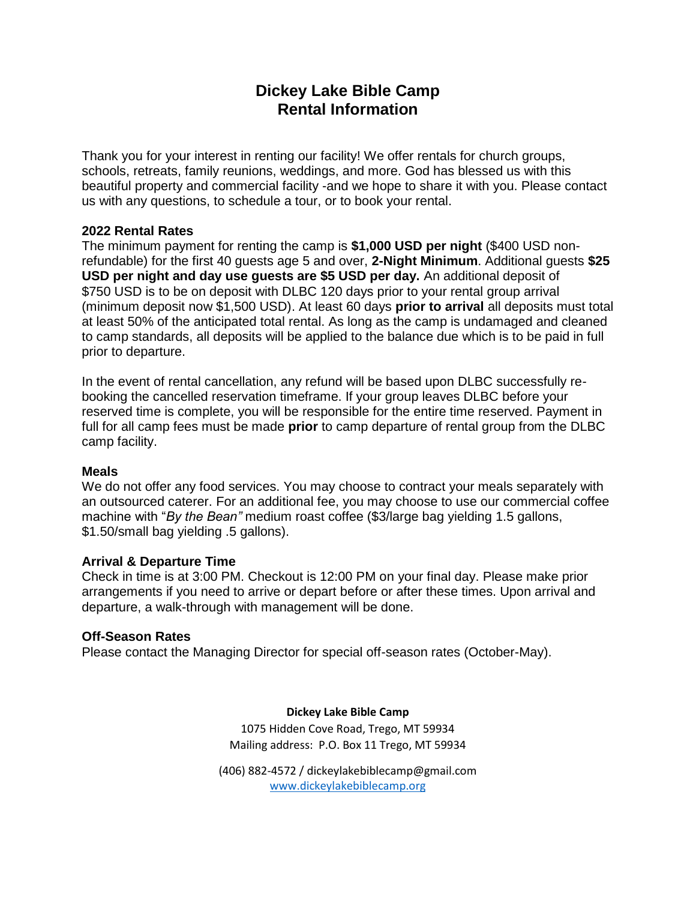# **Dickey Lake Bible Camp Rental Information**

Thank you for your interest in renting our facility! We offer rentals for church groups, schools, retreats, family reunions, weddings, and more. God has blessed us with this beautiful property and commercial facility -and we hope to share it with you. Please contact us with any questions, to schedule a tour, or to book your rental.

## **2022 Rental Rates**

The minimum payment for renting the camp is **\$1,000 USD per night** (\$400 USD nonrefundable) for the first 40 guests age 5 and over, **2-Night Minimum**. Additional guests **\$25 USD per night and day use guests are \$5 USD per day.** An additional deposit of \$750 USD is to be on deposit with DLBC 120 days prior to your rental group arrival (minimum deposit now \$1,500 USD). At least 60 days **prior to arrival** all deposits must total at least 50% of the anticipated total rental. As long as the camp is undamaged and cleaned to camp standards, all deposits will be applied to the balance due which is to be paid in full prior to departure.

In the event of rental cancellation, any refund will be based upon DLBC successfully rebooking the cancelled reservation timeframe. If your group leaves DLBC before your reserved time is complete, you will be responsible for the entire time reserved. Payment in full for all camp fees must be made **prior** to camp departure of rental group from the DLBC camp facility.

## **Meals**

We do not offer any food services. You may choose to contract your meals separately with an outsourced caterer. For an additional fee, you may choose to use our commercial coffee machine with "*By the Bean"* medium roast coffee (\$3/large bag yielding 1.5 gallons, \$1.50/small bag yielding .5 gallons).

## **Arrival & Departure Time**

Check in time is at 3:00 PM. Checkout is 12:00 PM on your final day. Please make prior arrangements if you need to arrive or depart before or after these times. Upon arrival and departure, a walk-through with management will be done.

## **Off-Season Rates**

Please contact the Managing Director for special off-season rates (October-May).

#### **Dickey Lake Bible Camp**

1075 Hidden Cove Road, Trego, MT 59934 Mailing address:P.O. Box 11 Trego, MT 59934

(406) 882-4572 / dickeylakebiblecamp@gmail.com [www.dickeylakebiblecamp.org](http://www.dickeylakebiblecamp.org/)